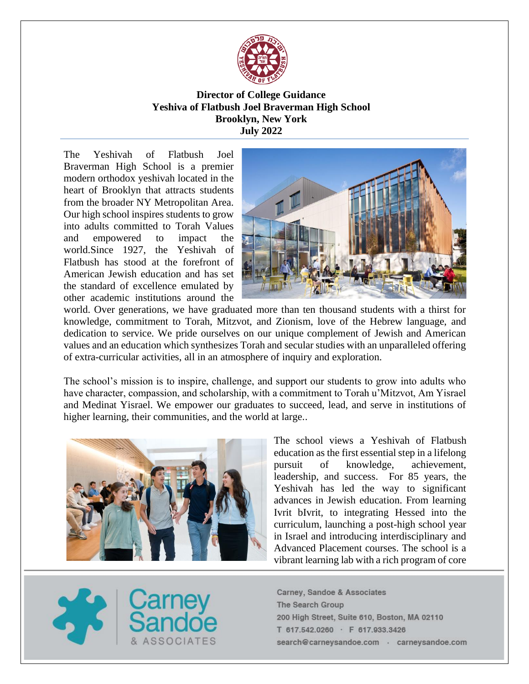

# **Director of College Guidance Yeshiva of Flatbush Joel Braverman High School Brooklyn, New York July 2022**

The Yeshivah of Flatbush Joel Braverman High School is a premier modern orthodox yeshivah located in the heart of Brooklyn that attracts students from the broader NY Metropolitan Area. Our high school inspires students to grow into adults committed to Torah Values and empowered to impact the world.Since 1927, the Yeshivah of Flatbush has stood at the forefront of American Jewish education and has set the standard of excellence emulated by other academic institutions around the



world. Over generations, we have graduated more than ten thousand students with a thirst for knowledge, commitment to Torah, Mitzvot, and Zionism, love of the Hebrew language, and dedication to service. We pride ourselves on our unique complement of Jewish and American values and an education which synthesizes Torah and secular studies with an unparalleled offering of extra-curricular activities, all in an atmosphere of inquiry and exploration.

The school's mission is to inspire, challenge, and support our students to grow into adults who have character, compassion, and scholarship, with a commitment to Torah u'Mitzvot, Am Yisrael and Medinat Yisrael. We empower our graduates to succeed, lead, and serve in institutions of higher learning, their communities, and the world at large..



The school views a Yeshivah of Flatbush education as the first essential step in a lifelong pursuit of knowledge, achievement, leadership, and success. For 85 years, the Yeshivah has led the way to significant advances in Jewish education. From learning Ivrit bIvrit, to integrating Hessed into the curriculum, launching a post-high school year in Israel and introducing interdisciplinary and Advanced Placement courses. The school is a vibrant learning lab with a rich program of core

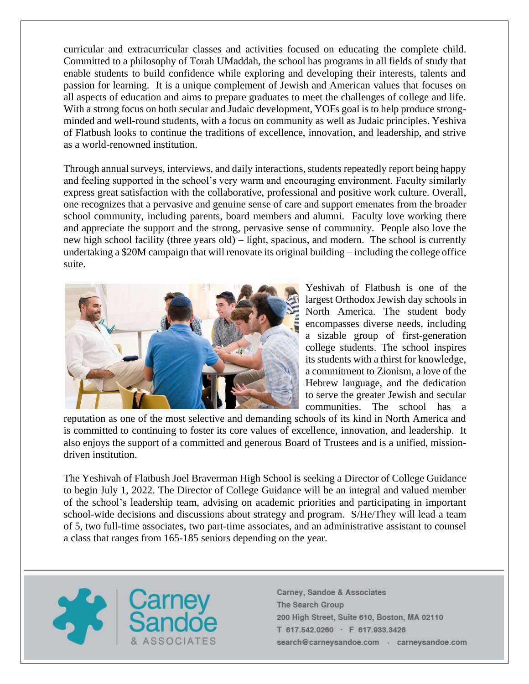curricular and extracurricular classes and activities focused on educating the complete child. Committed to a philosophy of Torah UMaddah, the school has programs in all fields of study that enable students to build confidence while exploring and developing their interests, talents and passion for learning. It is a unique complement of Jewish and American values that focuses on all aspects of education and aims to prepare graduates to meet the challenges of college and life. With a strong focus on both secular and Judaic development, YOFs goal is to help produce strongminded and well-round students, with a focus on community as well as Judaic principles. Yeshiva of Flatbush looks to continue the traditions of excellence, innovation, and leadership, and strive as a world-renowned institution.

Through annual surveys, interviews, and daily interactions, students repeatedly report being happy and feeling supported in the school's very warm and encouraging environment. Faculty similarly express great satisfaction with the collaborative, professional and positive work culture. Overall, one recognizes that a pervasive and genuine sense of care and support emenates from the broader school community, including parents, board members and alumni. Faculty love working there and appreciate the support and the strong, pervasive sense of community. People also love the new high school facility (three years old) – light, spacious, and modern. The school is currently undertaking a \$20M campaign that will renovate its original building – including the college office suite.



Yeshivah of Flatbush is one of the largest Orthodox Jewish day schools in North America. The student body encompasses diverse needs, including a sizable group of first-generation college students. The school inspires its students with a thirst for knowledge, a commitment to Zionism, a love of the Hebrew language, and the dedication to serve the greater Jewish and secular communities. The school has a

reputation as one of the most selective and demanding schools of its kind in North America and is committed to continuing to foster its core values of excellence, innovation, and leadership. It also enjoys the support of a committed and generous Board of Trustees and is a unified, missiondriven institution.

The Yeshivah of Flatbush Joel Braverman High School is seeking a Director of College Guidance to begin July 1, 2022. The Director of College Guidance will be an integral and valued member of the school's leadership team, advising on academic priorities and participating in important school-wide decisions and discussions about strategy and program. S/He/They will lead a team of 5, two full-time associates, two part-time associates, and an administrative assistant to counsel a class that ranges from 165-185 seniors depending on the year.

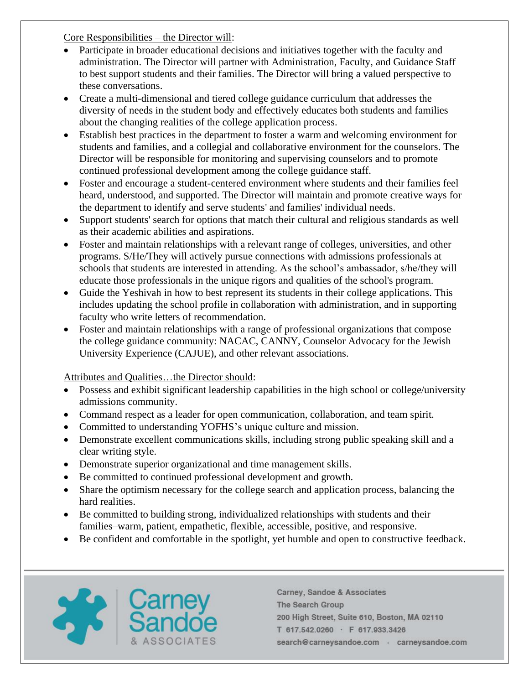Core Responsibilities – the Director will:

- Participate in broader educational decisions and initiatives together with the faculty and administration. The Director will partner with Administration, Faculty, and Guidance Staff to best support students and their families. The Director will bring a valued perspective to these conversations.
- Create a multi-dimensional and tiered college guidance curriculum that addresses the diversity of needs in the student body and effectively educates both students and families about the changing realities of the college application process.
- Establish best practices in the department to foster a warm and welcoming environment for students and families, and a collegial and collaborative environment for the counselors. The Director will be responsible for monitoring and supervising counselors and to promote continued professional development among the college guidance staff.
- Foster and encourage a student-centered environment where students and their families feel heard, understood, and supported. The Director will maintain and promote creative ways for the department to identify and serve students' and families' individual needs.
- Support students' search for options that match their cultural and religious standards as well as their academic abilities and aspirations.
- Foster and maintain relationships with a relevant range of colleges, universities, and other programs. S/He/They will actively pursue connections with admissions professionals at schools that students are interested in attending. As the school's ambassador, s/he/they will educate those professionals in the unique rigors and qualities of the school's program.
- Guide the Yeshivah in how to best represent its students in their college applications. This includes updating the school profile in collaboration with administration, and in supporting faculty who write letters of recommendation.
- Foster and maintain relationships with a range of professional organizations that compose the college guidance community: NACAC, CANNY, Counselor Advocacy for the Jewish University Experience (CAJUE), and other relevant associations.

Attributes and Qualities…the Director should:

- Possess and exhibit significant leadership capabilities in the high school or college/university admissions community.
- Command respect as a leader for open communication, collaboration, and team spirit.
- Committed to understanding YOFHS's unique culture and mission.
- Demonstrate excellent communications skills, including strong public speaking skill and a clear writing style.
- Demonstrate superior organizational and time management skills.
- Be committed to continued professional development and growth.
- Share the optimism necessary for the college search and application process, balancing the hard realities.
- Be committed to building strong, individualized relationships with students and their families–warm, patient, empathetic, flexible, accessible, positive, and responsive.
- Be confident and comfortable in the spotlight, yet humble and open to constructive feedback.